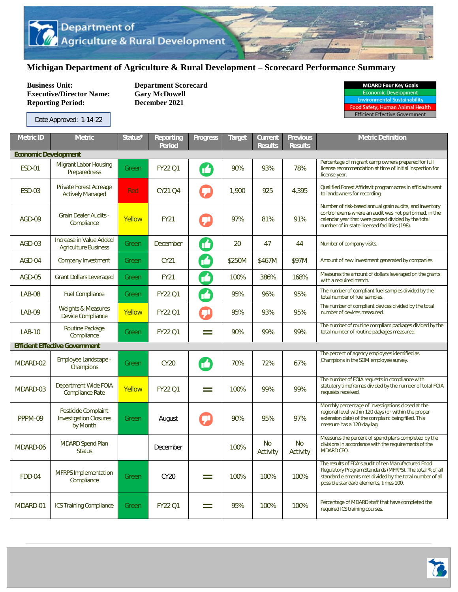## **Michigan Department of Agriculture & Rural Development – Scorecard Performance Summary**

**Business Unit:** Department Scorecard<br> **Executive/Director Name:** Gary McDowell **Executive/Director Name: Reporting Period: December 2021** 

Date Approved: 1-14-22

| <b>MDARD Four Key Goals</b>         |  |  |  |  |  |  |
|-------------------------------------|--|--|--|--|--|--|
| <b>Economic Development</b>         |  |  |  |  |  |  |
| <b>Environmental Sustainability</b> |  |  |  |  |  |  |
| ood Safety. Human Animal Healtl     |  |  |  |  |  |  |

**Efficient Effective Government** 

| <b>Metric ID</b>            | <b>Metric</b>                                                    | Status* | <b>Reporting</b><br><b>Period</b> | <b>Progress</b>           | <b>Target</b> | <b>Current</b><br><b>Results</b> | <b>Previous</b><br><b>Results</b> | <b>Metric Definition</b>                                                                                                                                                                                                  |  |  |  |
|-----------------------------|------------------------------------------------------------------|---------|-----------------------------------|---------------------------|---------------|----------------------------------|-----------------------------------|---------------------------------------------------------------------------------------------------------------------------------------------------------------------------------------------------------------------------|--|--|--|
| <b>Economic Development</b> |                                                                  |         |                                   |                           |               |                                  |                                   |                                                                                                                                                                                                                           |  |  |  |
| <b>ESD-01</b>               | <b>Migrant Labor Housing</b><br>Preparedness                     | Green   | <b>FY22 Q1</b>                    | M                         | 90%           | 93%                              | 78%                               | Percentage of migrant camp owners prepared for full<br>license recommendation at time of initial inspection for<br>license year.                                                                                          |  |  |  |
| <b>ESD-03</b>               | Private Forest Acreage<br><b>Actively Managed</b>                | Red     | CY21 Q4                           |                           | 1,900         | 925                              | 4,395                             | Qualified Forest Affidavit program acres in affidavits sent<br>to landowners for recording.                                                                                                                               |  |  |  |
| AGD-09                      | <b>Grain Dealer Audits -</b><br>Compliance                       | Yellow  | <b>FY21</b>                       |                           | 97%           | 81%                              | 91%                               | Number of risk-based annual grain audits, and inventory<br>control exams where an audit was not performed, in the<br>calendar year that were passed divided by the total<br>number of in-state licensed facilities (198). |  |  |  |
| AGD-03                      | Increase in Value Added<br><b>Agriculture Business</b>           | Green   | December                          | $\boldsymbol{\mathbb{C}}$ | 20            | 47                               | 44                                | Number of company visits.                                                                                                                                                                                                 |  |  |  |
| AGD-04                      | <b>Company Investment</b>                                        | Green   | CY21                              | M                         | \$250M        | \$467M                           | \$97M                             | Amount of new investment generated by companies.                                                                                                                                                                          |  |  |  |
| $AGD-05$                    | <b>Grant Dollars Leveraged</b>                                   | Green   | <b>FY21</b>                       | M                         | 100%          | 386%                             | 168%                              | Measures the amount of dollars leveraged on the grants<br>with a required match.                                                                                                                                          |  |  |  |
| <b>LAB-08</b>               | <b>Fuel Compliance</b>                                           | Green   | <b>FY22 Q1</b>                    | M                         | 95%           | 96%                              | 95%                               | The number of compliant fuel samples divided by the<br>total number of fuel samples.                                                                                                                                      |  |  |  |
| <b>LAB-09</b>               | <b>Weights &amp; Measures</b><br>Device Compliance               | Yellow  | <b>FY22 Q1</b>                    | ÇI                        | 95%           | 93%                              | 95%                               | The number of compliant devices divided by the total<br>number of devices measured.                                                                                                                                       |  |  |  |
| <b>LAB-10</b>               | Routine Package<br>Compliance                                    | Green   | <b>FY22 Q1</b>                    | Ξ                         | 90%           | 99%                              | 99%                               | The number of routine compliant packages divided by the<br>total number of routine packages measured.                                                                                                                     |  |  |  |
|                             | <b>Efficient Effective Government</b>                            |         |                                   |                           |               |                                  |                                   |                                                                                                                                                                                                                           |  |  |  |
| MDARD-02                    | Employee Landscape -<br>Champions                                | Green   | <b>CY20</b>                       | M                         | 70%           | 72%                              | 67%                               | The percent of agency employees identified as<br>Champions in the SOM employee survey.                                                                                                                                    |  |  |  |
| MDARD-03                    | Department Wide FOIA<br><b>Compliance Rate</b>                   | Yellow  | <b>FY22 Q1</b>                    | $=$                       | 100%          | 99%                              | 99%                               | The number of FOIA requests in compliance with<br>statutory timeframes divided by the number of total FOIA<br>requests received.                                                                                          |  |  |  |
| PPPM-09                     | Pesticide Complaint<br><b>Investigation Closures</b><br>by Month | Green   | August                            |                           | 90%           | 95%                              | 97%                               | Monthly percentage of investigations closed at the<br>regional level within 120 days (or within the proper<br>extension date) of the complaint being filed. This<br>measure has a 120-day lag.                            |  |  |  |
| MDARD-06                    | <b>MDARD Spend Plan</b><br><b>Status</b>                         |         | December                          |                           | 100%          | <b>No</b><br>Activity            | <b>No</b><br>Activity             | Measures the percent of spend plans completed by the<br>divisions in accordance with the requirements of the<br>MDARD CFO.                                                                                                |  |  |  |
| <b>FDD-04</b>               | <b>MFRPS</b> Implementation<br>Compliance                        | Green   | CY20                              | $=$                       | 100%          | 100%                             | 100%                              | The results of FDA's audit of ten Manufactured Food<br>Regulatory Program Standards (MFRPS). The total % of all<br>standard elements met divided by the total number of all<br>possible standard elements, times 100.     |  |  |  |
| MDARD-01                    | <b>ICS Training Compliance</b>                                   | Green   | <b>FY22 Q1</b>                    | $=$                       | 95%           | 100%                             | 100%                              | Percentage of MDARD staff that have completed the<br>required ICS training courses.                                                                                                                                       |  |  |  |